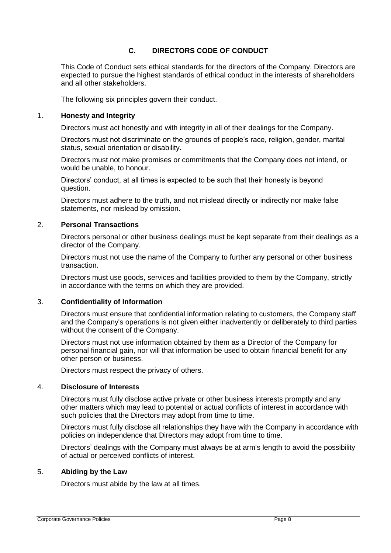## **C. DIRECTORS CODE OF CONDUCT**

This Code of Conduct sets ethical standards for the directors of the Company. Directors are expected to pursue the highest standards of ethical conduct in the interests of shareholders and all other stakeholders.

The following six principles govern their conduct.

#### 1. **Honesty and Integrity**

Directors must act honestly and with integrity in all of their dealings for the Company.

Directors must not discriminate on the grounds of people's race, religion, gender, marital status, sexual orientation or disability.

Directors must not make promises or commitments that the Company does not intend, or would be unable, to honour.

Directors' conduct, at all times is expected to be such that their honesty is beyond question.

Directors must adhere to the truth, and not mislead directly or indirectly nor make false statements, nor mislead by omission.

### 2. **Personal Transactions**

Directors personal or other business dealings must be kept separate from their dealings as a director of the Company.

Directors must not use the name of the Company to further any personal or other business transaction.

Directors must use goods, services and facilities provided to them by the Company, strictly in accordance with the terms on which they are provided.

## 3. **Confidentiality of Information**

Directors must ensure that confidential information relating to customers, the Company staff and the Company's operations is not given either inadvertently or deliberately to third parties without the consent of the Company.

Directors must not use information obtained by them as a Director of the Company for personal financial gain, nor will that information be used to obtain financial benefit for any other person or business.

Directors must respect the privacy of others.

## 4. **Disclosure of Interests**

Directors must fully disclose active private or other business interests promptly and any other matters which may lead to potential or actual conflicts of interest in accordance with such policies that the Directors may adopt from time to time.

Directors must fully disclose all relationships they have with the Company in accordance with policies on independence that Directors may adopt from time to time.

Directors' dealings with the Company must always be at arm's length to avoid the possibility of actual or perceived conflicts of interest.

#### 5. **Abiding by the Law**

Directors must abide by the law at all times.